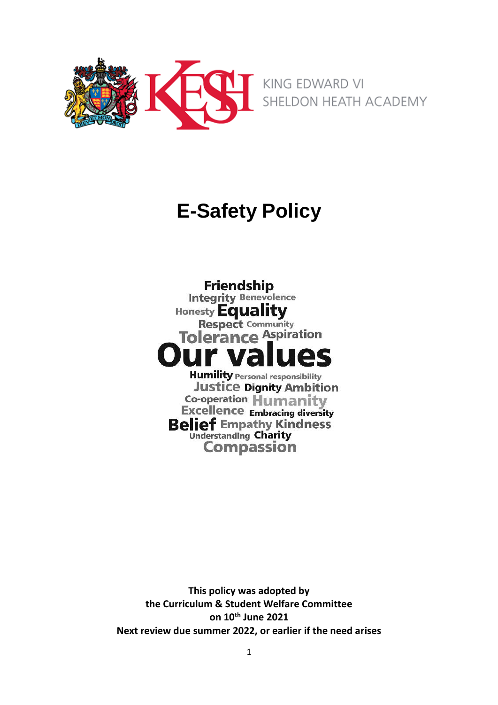

# **E-Safety Policy**

**Friendship Integrity Benevolence** Honesty Equality **Tolerance Aspiration** r V/2 **Humility Personal responsibility Justice Dignity Ambition** Co-operation Humanity **Excellence Embracing diversity Belief Empathy Kindness Compassion** 

**This policy was adopted by the Curriculum & Student Welfare Committee on 10th June 2021 Next review due summer 2022, or earlier if the need arises**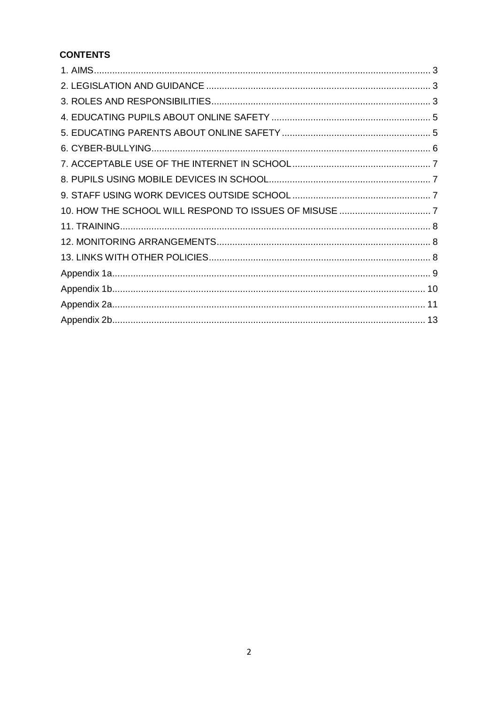# **CONTENTS**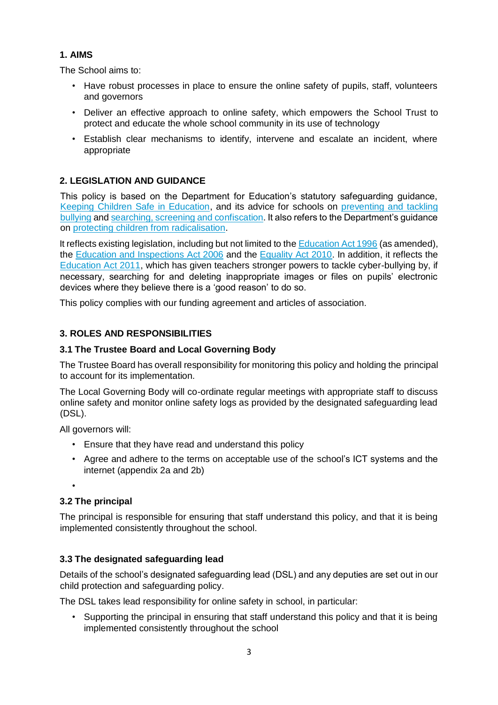# <span id="page-2-0"></span>**1. AIMS**

The School aims to:

- Have robust processes in place to ensure the online safety of pupils, staff, volunteers and governors
- Deliver an effective approach to online safety, which empowers the School Trust to protect and educate the whole school community in its use of technology
- Establish clear mechanisms to identify, intervene and escalate an incident, where appropriate

# <span id="page-2-1"></span>**2. LEGISLATION AND GUIDANCE**

This policy is based on the Department for Education's statutory safeguarding guidance, [Keeping Children Safe in Education,](https://www.gov.uk/government/publications/keeping-children-safe-in-education--2) and its advice for schools on [preventing and tackling](https://www.gov.uk/government/publications/preventing-and-tackling-bullying) [bullying](https://www.gov.uk/government/publications/preventing-and-tackling-bullying) an[d searching, screening and confiscation.](https://www.gov.uk/government/publications/searching-screening-and-confiscation) It also refers to the Department's guidance on [protecting children from radicalisation.](https://www.gov.uk/government/publications/protecting-children-from-radicalisation-the-prevent-duty)

It reflects existing legislation, including but not limited to t[he Education Act 1996](https://www.legislation.gov.uk/ukpga/1996/56/contents) [\(](https://www.legislation.gov.uk/ukpga/1996/56/contents)as amended), the [Education and Inspections](https://www.legislation.gov.uk/ukpga/2006/40/contents) [Act 2006](https://www.legislation.gov.uk/ukpga/2006/40/contents) [a](https://www.legislation.gov.uk/ukpga/2006/40/contents)nd the [Equality Act 2010.](https://www.legislation.gov.uk/ukpga/2010/15/contents) In addition, it reflects the [Education Act 2011,](http://www.legislation.gov.uk/ukpga/2011/21/contents/enacted) which has given teachers stronger powers to tackle cyber-bullying by, if necessary, searching for and deleting inappropriate images or files on pupils' electronic devices where they believe there is a 'good reason' to do so.

This policy complies with our funding agreement and articles of association.

# <span id="page-2-2"></span>**3. ROLES AND RESPONSIBILITIES**

## **3.1 The Trustee Board and Local Governing Body**

The Trustee Board has overall responsibility for monitoring this policy and holding the principal to account for its implementation.

The Local Governing Body will co-ordinate regular meetings with appropriate staff to discuss online safety and monitor online safety logs as provided by the designated safeguarding lead (DSL).

All governors will:

- Ensure that they have read and understand this policy
- Agree and adhere to the terms on acceptable use of the school's ICT systems and the internet (appendix 2a and 2b)

•

# **3.2 The principal**

The principal is responsible for ensuring that staff understand this policy, and that it is being implemented consistently throughout the school.

# **3.3 The designated safeguarding lead**

Details of the school's designated safeguarding lead (DSL) and any deputies are set out in our child protection and safeguarding policy.

The DSL takes lead responsibility for online safety in school, in particular:

Supporting the principal in ensuring that staff understand this policy and that it is being implemented consistently throughout the school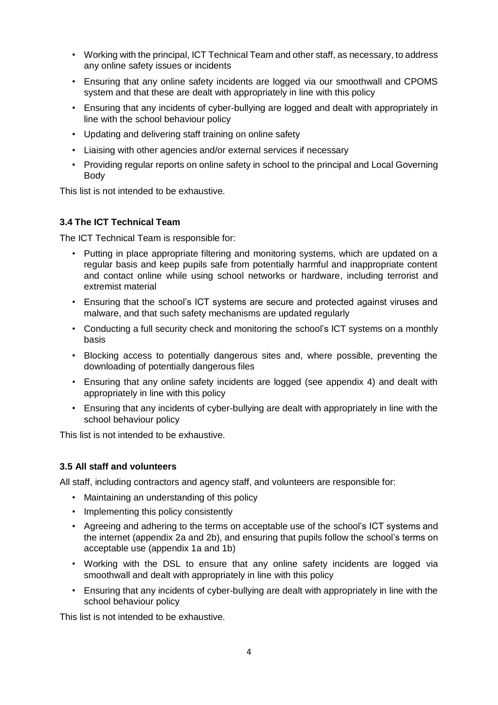- Working with the principal, ICT Technical Team and other staff, as necessary, to address any online safety issues or incidents
- Ensuring that any online safety incidents are logged via our smoothwall and CPOMS system and that these are dealt with appropriately in line with this policy
- Ensuring that any incidents of cyber-bullying are logged and dealt with appropriately in line with the school behaviour policy
- Updating and delivering staff training on online safety
- Liaising with other agencies and/or external services if necessary
- Providing regular reports on online safety in school to the principal and Local Governing Body

This list is not intended to be exhaustive.

#### **3.4 The ICT Technical Team**

The ICT Technical Team is responsible for:

- Putting in place appropriate filtering and monitoring systems, which are updated on a regular basis and keep pupils safe from potentially harmful and inappropriate content and contact online while using school networks or hardware, including terrorist and extremist material
- Ensuring that the school's ICT systems are secure and protected against viruses and malware, and that such safety mechanisms are updated regularly
- Conducting a full security check and monitoring the school's ICT systems on a monthly basis
- Blocking access to potentially dangerous sites and, where possible, preventing the downloading of potentially dangerous files
- Ensuring that any online safety incidents are logged (see appendix 4) and dealt with appropriately in line with this policy
- Ensuring that any incidents of cyber-bullying are dealt with appropriately in line with the school behaviour policy

This list is not intended to be exhaustive.

#### **3.5 All staff and volunteers**

All staff, including contractors and agency staff, and volunteers are responsible for:

- Maintaining an understanding of this policy
- Implementing this policy consistently
- Agreeing and adhering to the terms on acceptable use of the school's ICT systems and the internet (appendix 2a and 2b), and ensuring that pupils follow the school's terms on acceptable use (appendix 1a and 1b)
- Working with the DSL to ensure that any online safety incidents are logged via smoothwall and dealt with appropriately in line with this policy
- Ensuring that any incidents of cyber-bullying are dealt with appropriately in line with the school behaviour policy

This list is not intended to be exhaustive.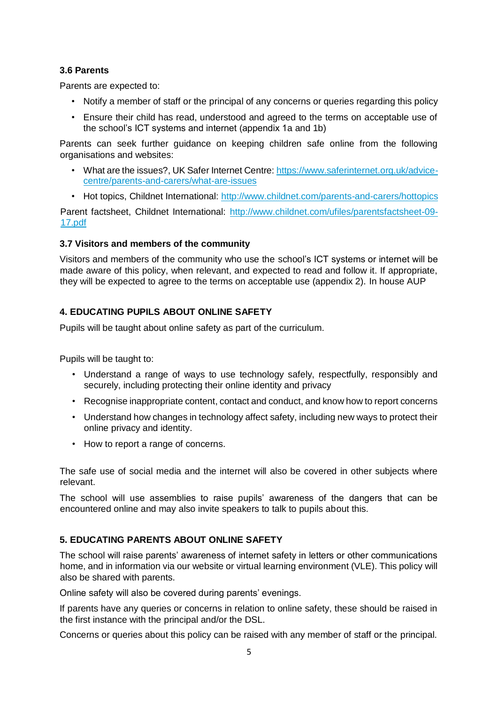#### **3.6 Parents**

Parents are expected to:

- Notify a member of staff or the principal of any concerns or queries regarding this policy
- Ensure their child has read, understood and agreed to the terms on acceptable use of the school's ICT systems and internet (appendix 1a and 1b)

Parents can seek further guidance on keeping children safe online from the following organisations and websites:

- What are the issues?, UK Safer Internet Centre[: https://www.saferinternet.org.uk/advice](https://www.saferinternet.org.uk/advice-centre/parents-and-carers/what-are-issues)[centre/parents-and-carers/what-are-issues](https://www.saferinternet.org.uk/advice-centre/parents-and-carers/what-are-issues)
- Hot topics, Childnet International: [http://www.childnet.com/parents-and-carers/hottopics](http://www.childnet.com/parents-and-carers/hot-topics)

Parent factsheet, Childnet International: [http://www.childnet.com/ufiles/parentsfactsheet-09-](http://www.childnet.com/ufiles/parents-factsheet-09-17.pdf) [17.pdf](http://www.childnet.com/ufiles/parents-factsheet-09-17.pdf)

#### **3.7 Visitors and members of the community**

Visitors and members of the community who use the school's ICT systems or internet will be made aware of this policy, when relevant, and expected to read and follow it. If appropriate, they will be expected to agree to the terms on acceptable use (appendix 2). In house AUP

# <span id="page-4-0"></span>**4. EDUCATING PUPILS ABOUT ONLINE SAFETY**

Pupils will be taught about online safety as part of the curriculum.

Pupils will be taught to:

- Understand a range of ways to use technology safely, respectfully, responsibly and securely, including protecting their online identity and privacy
- Recognise inappropriate content, contact and conduct, and know how to report concerns
- Understand how changes in technology affect safety, including new ways to protect their online privacy and identity.
- How to report a range of concerns.

The safe use of social media and the internet will also be covered in other subjects where relevant.

The school will use assemblies to raise pupils' awareness of the dangers that can be encountered online and may also invite speakers to talk to pupils about this.

# <span id="page-4-1"></span>**5. EDUCATING PARENTS ABOUT ONLINE SAFETY**

The school will raise parents' awareness of internet safety in letters or other communications home, and in information via our website or virtual learning environment (VLE). This policy will also be shared with parents.

Online safety will also be covered during parents' evenings.

If parents have any queries or concerns in relation to online safety, these should be raised in the first instance with the principal and/or the DSL.

Concerns or queries about this policy can be raised with any member of staff or the principal.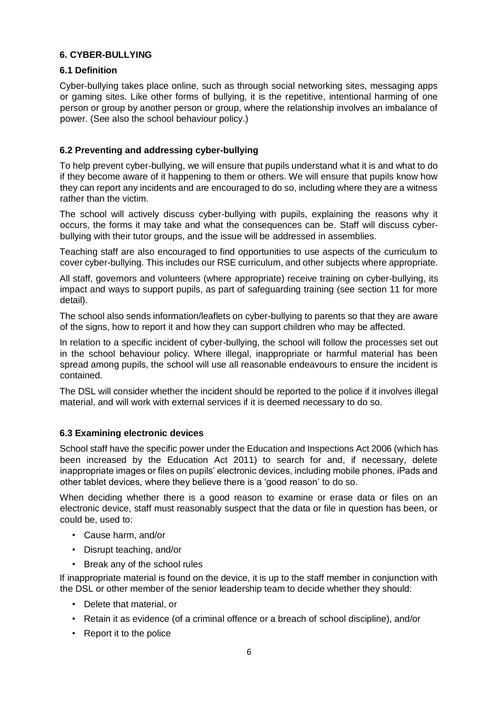## <span id="page-5-0"></span>**6. CYBER-BULLYING**

#### **6.1 Definition**

Cyber-bullying takes place online, such as through social networking sites, messaging apps or gaming sites. Like other forms of bullying, it is the repetitive, intentional harming of one person or group by another person or group, where the relationship involves an imbalance of power. (See also the school behaviour policy.)

# **6.2 Preventing and addressing cyber-bullying**

To help prevent cyber-bullying, we will ensure that pupils understand what it is and what to do if they become aware of it happening to them or others. We will ensure that pupils know how they can report any incidents and are encouraged to do so, including where they are a witness rather than the victim.

The school will actively discuss cyber-bullying with pupils, explaining the reasons why it occurs, the forms it may take and what the consequences can be. Staff will discuss cyberbullying with their tutor groups, and the issue will be addressed in assemblies.

Teaching staff are also encouraged to find opportunities to use aspects of the curriculum to cover cyber-bullying. This includes our RSE curriculum, and other subjects where appropriate.

All staff, governors and volunteers (where appropriate) receive training on cyber-bullying, its impact and ways to support pupils, as part of safeguarding training (see section 11 for more detail).

The school also sends information/leaflets on cyber-bullying to parents so that they are aware of the signs, how to report it and how they can support children who may be affected.

In relation to a specific incident of cyber-bullying, the school will follow the processes set out in the school behaviour policy. Where illegal, inappropriate or harmful material has been spread among pupils, the school will use all reasonable endeavours to ensure the incident is contained.

The DSL will consider whether the incident should be reported to the police if it involves illegal material, and will work with external services if it is deemed necessary to do so.

#### **6.3 Examining electronic devices**

School staff have the specific power under the Education and Inspections Act 2006 (which has been increased by the Education Act 2011) to search for and, if necessary, delete inappropriate images or files on pupils' electronic devices, including mobile phones, iPads and other tablet devices, where they believe there is a 'good reason' to do so.

When deciding whether there is a good reason to examine or erase data or files on an electronic device, staff must reasonably suspect that the data or file in question has been, or could be, used to:

- Cause harm, and/or
- Disrupt teaching, and/or
- Break any of the school rules

If inappropriate material is found on the device, it is up to the staff member in conjunction with the DSL or other member of the senior leadership team to decide whether they should:

- Delete that material, or
- Retain it as evidence (of a criminal offence or a breach of school discipline), and/or
- Report it to the police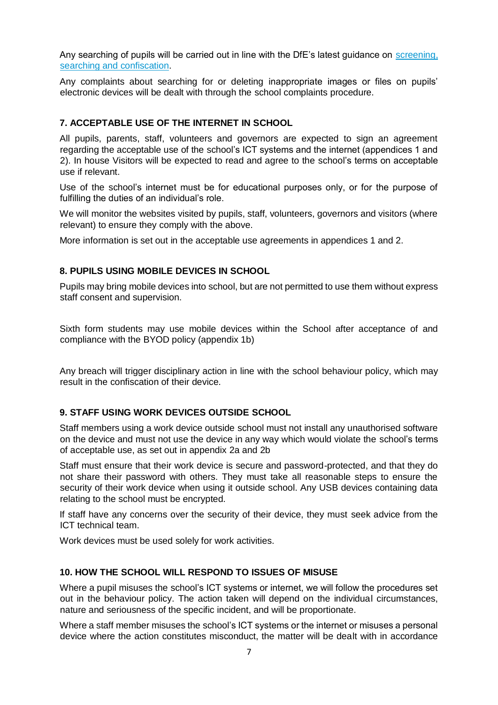Any searching of pupils will be carried out in line with the DfE's latest guidance on [screening,](https://www.gov.uk/government/publications/searching-screening-and-confiscation) [searching and confiscation.](https://www.gov.uk/government/publications/searching-screening-and-confiscation)

Any complaints about searching for or deleting inappropriate images or files on pupils' electronic devices will be dealt with through the school complaints procedure.

#### <span id="page-6-0"></span>**7. ACCEPTABLE USE OF THE INTERNET IN SCHOOL**

All pupils, parents, staff, volunteers and governors are expected to sign an agreement regarding the acceptable use of the school's ICT systems and the internet (appendices 1 and 2). In house Visitors will be expected to read and agree to the school's terms on acceptable use if relevant.

Use of the school's internet must be for educational purposes only, or for the purpose of fulfilling the duties of an individual's role.

We will monitor the websites visited by pupils, staff, volunteers, governors and visitors (where relevant) to ensure they comply with the above.

More information is set out in the acceptable use agreements in appendices 1 and 2.

#### <span id="page-6-1"></span>**8. PUPILS USING MOBILE DEVICES IN SCHOOL**

Pupils may bring mobile devices into school, but are not permitted to use them without express staff consent and supervision.

Sixth form students may use mobile devices within the School after acceptance of and compliance with the BYOD policy (appendix 1b)

Any breach will trigger disciplinary action in line with the school behaviour policy, which may result in the confiscation of their device.

#### <span id="page-6-2"></span>**9. STAFF USING WORK DEVICES OUTSIDE SCHOOL**

Staff members using a work device outside school must not install any unauthorised software on the device and must not use the device in any way which would violate the school's terms of acceptable use, as set out in appendix 2a and 2b

Staff must ensure that their work device is secure and password-protected, and that they do not share their password with others. They must take all reasonable steps to ensure the security of their work device when using it outside school. Any USB devices containing data relating to the school must be encrypted.

If staff have any concerns over the security of their device, they must seek advice from the ICT technical team.

Work devices must be used solely for work activities.

#### <span id="page-6-3"></span>**10. HOW THE SCHOOL WILL RESPOND TO ISSUES OF MISUSE**

Where a pupil misuses the school's ICT systems or internet, we will follow the procedures set out in the behaviour policy. The action taken will depend on the individual circumstances, nature and seriousness of the specific incident, and will be proportionate.

Where a staff member misuses the school's ICT systems or the internet or misuses a personal device where the action constitutes misconduct, the matter will be dealt with in accordance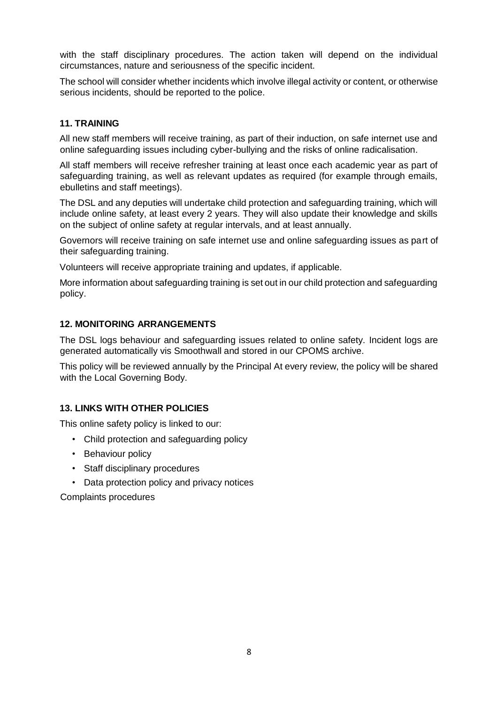with the staff disciplinary procedures. The action taken will depend on the individual circumstances, nature and seriousness of the specific incident.

The school will consider whether incidents which involve illegal activity or content, or otherwise serious incidents, should be reported to the police.

## <span id="page-7-0"></span>**11. TRAINING**

All new staff members will receive training, as part of their induction, on safe internet use and online safeguarding issues including cyber-bullying and the risks of online radicalisation.

All staff members will receive refresher training at least once each academic year as part of safeguarding training, as well as relevant updates as required (for example through emails, ebulletins and staff meetings).

The DSL and any deputies will undertake child protection and safeguarding training, which will include online safety, at least every 2 years. They will also update their knowledge and skills on the subject of online safety at regular intervals, and at least annually.

Governors will receive training on safe internet use and online safeguarding issues as part of their safeguarding training.

Volunteers will receive appropriate training and updates, if applicable.

More information about safeguarding training is set out in our child protection and safeguarding policy.

#### <span id="page-7-1"></span>**12. MONITORING ARRANGEMENTS**

The DSL logs behaviour and safeguarding issues related to online safety. Incident logs are generated automatically vis Smoothwall and stored in our CPOMS archive.

This policy will be reviewed annually by the Principal At every review, the policy will be shared with the Local Governing Body.

# <span id="page-7-2"></span>**13. LINKS WITH OTHER POLICIES**

This online safety policy is linked to our:

- Child protection and safeguarding policy
- Behaviour policy
- Staff disciplinary procedures
- Data protection policy and privacy notices

Complaints procedures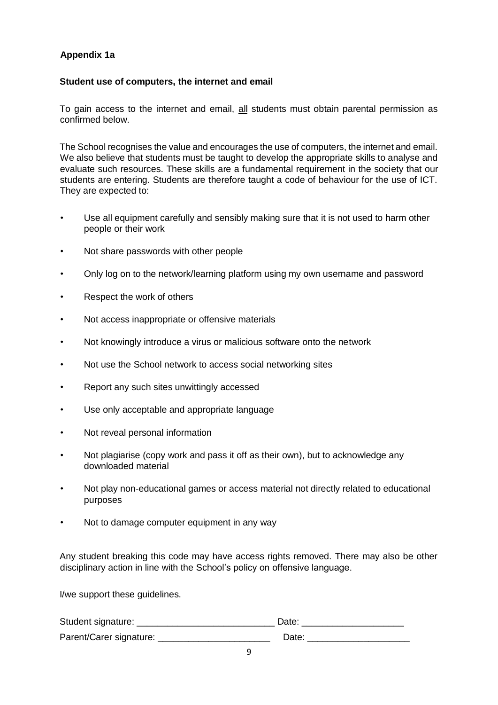# <span id="page-8-0"></span>**Appendix 1a**

#### **Student use of computers, the internet and email**

To gain access to the internet and email, all students must obtain parental permission as confirmed below.

The School recognises the value and encourages the use of computers, the internet and email. We also believe that students must be taught to develop the appropriate skills to analyse and evaluate such resources. These skills are a fundamental requirement in the society that our students are entering. Students are therefore taught a code of behaviour for the use of ICT. They are expected to:

- Use all equipment carefully and sensibly making sure that it is not used to harm other people or their work
- Not share passwords with other people
- Only log on to the network/learning platform using my own username and password
- Respect the work of others
- Not access inappropriate or offensive materials
- Not knowingly introduce a virus or malicious software onto the network
- Not use the School network to access social networking sites
- Report any such sites unwittingly accessed
- Use only acceptable and appropriate language
- Not reveal personal information
- Not plagiarise (copy work and pass it off as their own), but to acknowledge any downloaded material
- Not play non-educational games or access material not directly related to educational purposes
- Not to damage computer equipment in any way

Any student breaking this code may have access rights removed. There may also be other disciplinary action in line with the School's policy on offensive language.

I/we support these guidelines.

| Student signature:      | Date: |
|-------------------------|-------|
| Parent/Carer signature: | Date: |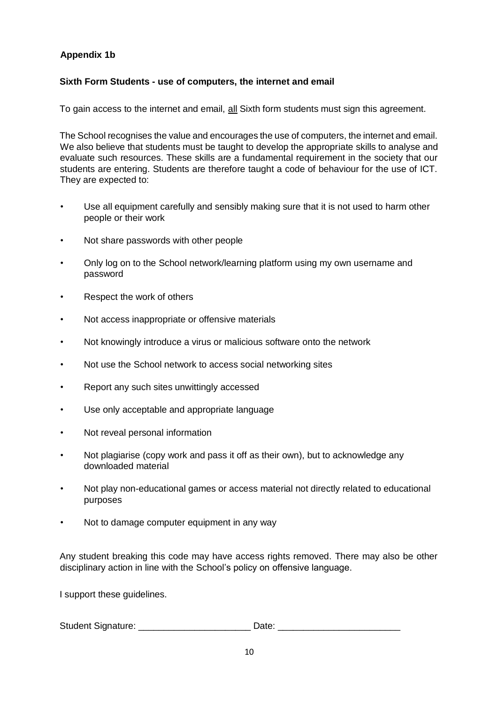# <span id="page-9-0"></span>**Appendix 1b**

#### **Sixth Form Students - use of computers, the internet and email**

To gain access to the internet and email, all Sixth form students must sign this agreement.

The School recognises the value and encourages the use of computers, the internet and email. We also believe that students must be taught to develop the appropriate skills to analyse and evaluate such resources. These skills are a fundamental requirement in the society that our students are entering. Students are therefore taught a code of behaviour for the use of ICT. They are expected to:

- Use all equipment carefully and sensibly making sure that it is not used to harm other people or their work
- Not share passwords with other people
- Only log on to the School network/learning platform using my own username and password
- Respect the work of others
- Not access inappropriate or offensive materials
- Not knowingly introduce a virus or malicious software onto the network
- Not use the School network to access social networking sites
- Report any such sites unwittingly accessed
- Use only acceptable and appropriate language
- Not reveal personal information
- Not plagiarise (copy work and pass it off as their own), but to acknowledge any downloaded material
- Not play non-educational games or access material not directly related to educational purposes
- Not to damage computer equipment in any way

Any student breaking this code may have access rights removed. There may also be other disciplinary action in line with the School's policy on offensive language.

I support these guidelines.

| <b>Student Signature:</b> |  |
|---------------------------|--|
|                           |  |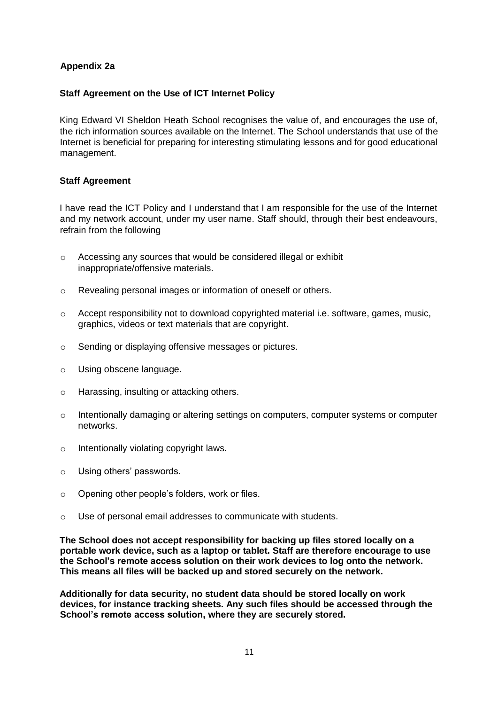#### <span id="page-10-0"></span>**Appendix 2a**

#### **Staff Agreement on the Use of ICT Internet Policy**

King Edward VI Sheldon Heath School recognises the value of, and encourages the use of, the rich information sources available on the Internet. The School understands that use of the Internet is beneficial for preparing for interesting stimulating lessons and for good educational management.

#### **Staff Agreement**

I have read the ICT Policy and I understand that I am responsible for the use of the Internet and my network account, under my user name. Staff should, through their best endeavours, refrain from the following

- o Accessing any sources that would be considered illegal or exhibit inappropriate/offensive materials.
- o Revealing personal images or information of oneself or others.
- o Accept responsibility not to download copyrighted material i.e. software, games, music, graphics, videos or text materials that are copyright.
- o Sending or displaying offensive messages or pictures.
- o Using obscene language.
- o Harassing, insulting or attacking others.
- o Intentionally damaging or altering settings on computers, computer systems or computer networks.
- o Intentionally violating copyright laws.
- o Using others' passwords.
- o Opening other people's folders, work or files.
- o Use of personal email addresses to communicate with students.

**The School does not accept responsibility for backing up files stored locally on a portable work device, such as a laptop or tablet. Staff are therefore encourage to use the School's remote access solution on their work devices to log onto the network. This means all files will be backed up and stored securely on the network.** 

**Additionally for data security, no student data should be stored locally on work devices, for instance tracking sheets. Any such files should be accessed through the School's remote access solution, where they are securely stored.**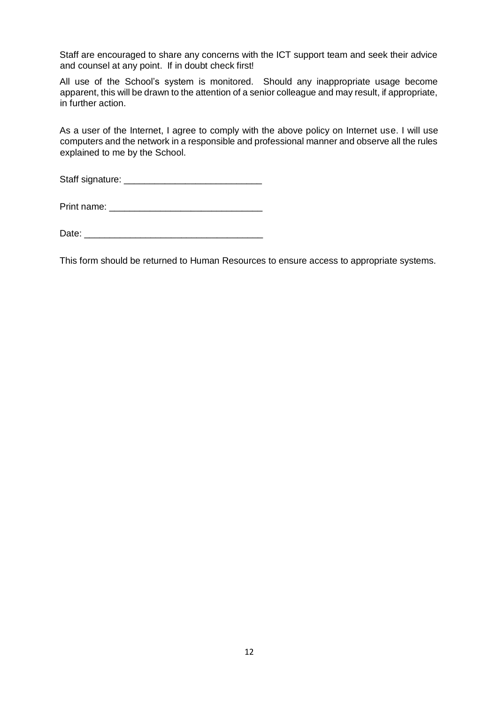Staff are encouraged to share any concerns with the ICT support team and seek their advice and counsel at any point. If in doubt check first!

All use of the School's system is monitored. Should any inappropriate usage become apparent, this will be drawn to the attention of a senior colleague and may result, if appropriate, in further action.

As a user of the Internet, I agree to comply with the above policy on Internet use. I will use computers and the network in a responsible and professional manner and observe all the rules explained to me by the School.

Staff signature: \_\_\_\_\_\_\_\_\_\_\_\_\_\_\_\_\_\_\_\_\_\_\_\_\_\_\_

Print name:  $\blacksquare$ 

Date: \_\_\_\_\_\_\_\_\_\_\_\_\_\_\_\_\_\_\_\_\_\_\_\_\_\_\_\_\_\_\_\_\_\_\_

This form should be returned to Human Resources to ensure access to appropriate systems.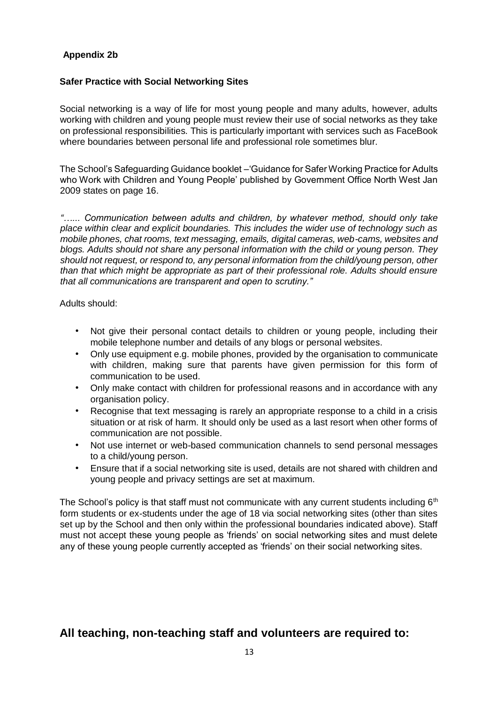#### <span id="page-12-0"></span>**Appendix 2b**

#### **Safer Practice with Social Networking Sites**

Social networking is a way of life for most young people and many adults, however, adults working with children and young people must review their use of social networks as they take on professional responsibilities. This is particularly important with services such as FaceBook where boundaries between personal life and professional role sometimes blur.

The School's Safeguarding Guidance booklet –'Guidance for Safer Working Practice for Adults who Work with Children and Young People' published by Government Office North West Jan 2009 states on page 16.

*"…... Communication between adults and children, by whatever method, should only take place within clear and explicit boundaries. This includes the wider use of technology such as mobile phones, chat rooms, text messaging, emails, digital cameras, web-cams, websites and blogs. Adults should not share any personal information with the child or young person. They should not request, or respond to, any personal information from the child/young person, other than that which might be appropriate as part of their professional role. Adults should ensure that all communications are transparent and open to scrutiny."* 

Adults should:

- Not give their personal contact details to children or young people, including their mobile telephone number and details of any blogs or personal websites.
- Only use equipment e.g. mobile phones, provided by the organisation to communicate with children, making sure that parents have given permission for this form of communication to be used.
- Only make contact with children for professional reasons and in accordance with any organisation policy.
- Recognise that text messaging is rarely an appropriate response to a child in a crisis situation or at risk of harm. It should only be used as a last resort when other forms of communication are not possible.
- Not use internet or web-based communication channels to send personal messages to a child/young person.
- Ensure that if a social networking site is used, details are not shared with children and young people and privacy settings are set at maximum.

The School's policy is that staff must not communicate with any current students including  $6<sup>th</sup>$ form students or ex-students under the age of 18 via social networking sites (other than sites set up by the School and then only within the professional boundaries indicated above). Staff must not accept these young people as 'friends' on social networking sites and must delete any of these young people currently accepted as 'friends' on their social networking sites.

# **All teaching, non-teaching staff and volunteers are required to:**